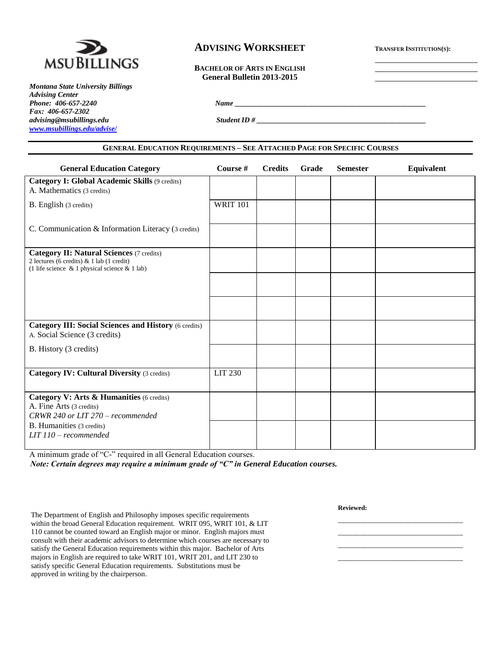

*Montana State University Billings Advising Center Fax: 406-657-2302 advising@msubillings.edu Student ID # \_\_\_\_\_\_\_\_\_\_\_\_\_\_\_\_\_\_\_\_\_\_\_\_\_\_\_\_\_\_\_\_\_\_\_\_\_\_\_\_\_\_\_\_\_\_ [www.msubillings.edu/advise/](http://www.msubillings.edu/advise/)*

# **ADVISING WORKSHEET <sup>T</sup>RANSFER INSTITUTION(S):**

**BACHELOR OF ARTS IN ENGLISH General Bulletin 2013-2015**

*Phone: 406-657-2240 Name \_\_\_\_\_\_\_\_\_\_\_\_\_\_\_\_\_\_\_\_\_\_\_\_\_\_\_\_\_\_\_\_\_\_\_\_\_\_\_\_\_\_\_\_\_\_\_\_\_\_\_\_*

| <b>GENERAL EDUCATION REQUIREMENTS - SEE ATTACHED PAGE FOR SPECIFIC COURSES</b>                                                                       |                 |                |       |                 |            |  |  |  |
|------------------------------------------------------------------------------------------------------------------------------------------------------|-----------------|----------------|-------|-----------------|------------|--|--|--|
| <b>General Education Category</b>                                                                                                                    | Course #        | <b>Credits</b> | Grade | <b>Semester</b> | Equivalent |  |  |  |
| Category I: Global Academic Skills (9 credits)<br>A. Mathematics (3 credits)                                                                         |                 |                |       |                 |            |  |  |  |
| B. English (3 credits)                                                                                                                               | <b>WRIT 101</b> |                |       |                 |            |  |  |  |
| C. Communication & Information Literacy (3 credits)                                                                                                  |                 |                |       |                 |            |  |  |  |
| <b>Category II: Natural Sciences (7 credits)</b><br>2 lectures (6 credits) & 1 lab (1 credit)<br>(1 life science $\&$ 1 physical science $\&$ 1 lab) |                 |                |       |                 |            |  |  |  |
|                                                                                                                                                      |                 |                |       |                 |            |  |  |  |
|                                                                                                                                                      |                 |                |       |                 |            |  |  |  |
| <b>Category III: Social Sciences and History (6 credits)</b><br>A. Social Science (3 credits)                                                        |                 |                |       |                 |            |  |  |  |
| B. History (3 credits)                                                                                                                               |                 |                |       |                 |            |  |  |  |
| <b>Category IV: Cultural Diversity (3 credits)</b>                                                                                                   | LIT 230         |                |       |                 |            |  |  |  |
| Category V: Arts & Humanities (6 credits)<br>A. Fine Arts (3 credits)<br>CRWR 240 or LIT 270 - recommended                                           |                 |                |       |                 |            |  |  |  |
| B. Humanities (3 credits)<br>$LIT$ 110 – recommended                                                                                                 |                 |                |       |                 |            |  |  |  |

A minimum grade of "C-" required in all General Education courses.

*Note: Certain degrees may require a minimum grade of "C" in General Education courses.*

**Reviewed:**

\_\_\_\_\_\_\_\_\_\_\_\_\_\_\_\_\_\_\_\_\_\_\_\_\_\_\_\_\_\_\_\_\_\_ \_\_\_\_\_\_\_\_\_\_\_\_\_\_\_\_\_\_\_\_\_\_\_\_\_\_\_\_\_\_\_\_\_\_ \_\_\_\_\_\_\_\_\_\_\_\_\_\_\_\_\_\_\_\_\_\_\_\_\_\_\_\_\_\_\_\_\_\_ \_\_\_\_\_\_\_\_\_\_\_\_\_\_\_\_\_\_\_\_\_\_\_\_\_\_\_\_\_\_\_\_\_\_

The Department of English and Philosophy imposes specific requirements within the broad General Education requirement. WRIT 095, WRIT 101, & LIT 110 cannot be counted toward an English major or minor. English majors must consult with their academic advisors to determine which courses are necessary to satisfy the General Education requirements within this major. Bachelor of Arts majors in English are required to take WRIT 101, WRIT 201, and LIT 230 to satisfy specific General Education requirements. Substitutions must be approved in writing by the chairperson.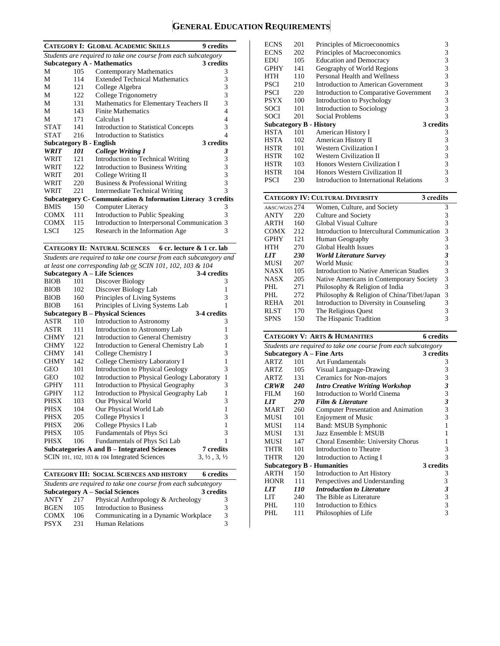# **GENERAL EDUCATION REQUIREMENTS**

|                                                                |      | <b>CATEGORY I: GLOBAL ACADEMIC SKILLS</b><br>9 credits        |   |  |  |  |
|----------------------------------------------------------------|------|---------------------------------------------------------------|---|--|--|--|
| Students are required to take one course from each subcategory |      |                                                               |   |  |  |  |
|                                                                |      | <b>Subcategory A - Mathematics</b><br>3 credits               |   |  |  |  |
| М                                                              | 105  | Contemporary Mathematics                                      | 3 |  |  |  |
| M                                                              | 114  | <b>Extended Technical Mathematics</b>                         | 3 |  |  |  |
| М                                                              | 121  | College Algebra                                               | 3 |  |  |  |
| M                                                              | 122  | College Trigonometry                                          | 3 |  |  |  |
| М                                                              | 131  | Mathematics for Elementary Teachers II                        | 3 |  |  |  |
| M                                                              | 143  | <b>Finite Mathematics</b>                                     | 4 |  |  |  |
| М                                                              | 171  | Calculus I                                                    | 4 |  |  |  |
| <b>STAT</b>                                                    | 141  | <b>Introduction to Statistical Concepts</b>                   | 3 |  |  |  |
| <b>STAT</b>                                                    | 216  | Introduction to Statistics                                    | 4 |  |  |  |
|                                                                |      | 3 credits<br>Subcategory B - English                          |   |  |  |  |
| <b>WRIT</b>                                                    | 101  | <b>College Writing I</b>                                      | 3 |  |  |  |
| WRIT                                                           | 121  | Introduction to Technical Writing                             | 3 |  |  |  |
| WRIT                                                           | 122. | <b>Introduction to Business Writing</b>                       | 3 |  |  |  |
| WRIT                                                           | 201  | College Writing II                                            | 3 |  |  |  |
| WRIT                                                           | 220  | Business & Professional Writing                               | 3 |  |  |  |
| WRIT                                                           | 221  | Intermediate Technical Writing                                | 3 |  |  |  |
|                                                                |      | Subcategory C- Communication & Information Literacy 3 credits |   |  |  |  |
| <b>BMIS</b>                                                    | 150  | Computer Literacy                                             | 3 |  |  |  |
| <b>COMX</b>                                                    | 111  | Introduction to Public Speaking                               | 3 |  |  |  |
| <b>COMX</b>                                                    | 115  | Introduction to Interpersonal Communication 3                 |   |  |  |  |
| <b>LSCI</b>                                                    | 125  | Research in the Information Age                               | 3 |  |  |  |

**CATEGORY II: NATURAL SCIENCES 6 cr. lecture & 1 cr. lab**

*Students are required to take one course from each subcategory and at least one corresponding lab or SCIN 101, 102, 103 & 104*

| at least one corresponding tub or SCIN 101, 102, 105 $\alpha$ 104 |                                                     |                                                 |                                  |  |  |  |  |  |
|-------------------------------------------------------------------|-----------------------------------------------------|-------------------------------------------------|----------------------------------|--|--|--|--|--|
|                                                                   | <b>Subcategory A - Life Sciences</b><br>3-4 credits |                                                 |                                  |  |  |  |  |  |
| <b>BIOB</b>                                                       | 101                                                 | Discover Biology                                | 3                                |  |  |  |  |  |
| <b>BIOB</b>                                                       | 102                                                 | Discover Biology Lab                            | 1                                |  |  |  |  |  |
| <b>BIOB</b>                                                       | 160                                                 | Principles of Living Systems                    | 3                                |  |  |  |  |  |
| <b>BIOB</b>                                                       | 161                                                 | Principles of Living Systems Lab                | 1                                |  |  |  |  |  |
| 3-4 credits<br><b>Subcategory B – Physical Sciences</b>           |                                                     |                                                 |                                  |  |  |  |  |  |
| ASTR                                                              | 110                                                 | Introduction to Astronomy                       | 3                                |  |  |  |  |  |
| ASTR                                                              | 111                                                 | Introduction to Astronomy Lab                   | 1                                |  |  |  |  |  |
| <b>CHMY</b>                                                       | 121                                                 | Introduction to General Chemistry               | 3                                |  |  |  |  |  |
| <b>CHMY</b>                                                       | 122                                                 | Introduction to General Chemistry Lab           | $\mathbf{1}$                     |  |  |  |  |  |
| <b>CHMY</b>                                                       | 141                                                 | College Chemistry I                             | 3                                |  |  |  |  |  |
| <b>CHMY</b>                                                       | 142                                                 | College Chemistry Laboratory I                  | $\mathbf{1}$                     |  |  |  |  |  |
| <b>GEO</b>                                                        | 101                                                 | <b>Introduction to Physical Geology</b>         | 3                                |  |  |  |  |  |
| <b>GEO</b>                                                        | 102                                                 | Introduction to Physical Geology Laboratory     | $\mathbf{1}$                     |  |  |  |  |  |
| <b>GPHY</b>                                                       | 111                                                 | Introduction to Physical Geography              | 3                                |  |  |  |  |  |
| <b>GPHY</b>                                                       | 112                                                 | Introduction to Physical Geography Lab          | $\mathbf{1}$                     |  |  |  |  |  |
| PHSX                                                              | 103                                                 | Our Physical World                              | 3                                |  |  |  |  |  |
| PHSX                                                              | 104                                                 | Our Physical World Lab                          | $\mathbf{1}$                     |  |  |  |  |  |
| PHSX                                                              | 205                                                 | College Physics I                               | 3                                |  |  |  |  |  |
| PHSX                                                              | 206                                                 | College Physics I Lab                           | $\mathbf{1}$                     |  |  |  |  |  |
| PHSX                                                              | 105                                                 | Fundamentals of Phys Sci                        | 3                                |  |  |  |  |  |
| PHSX                                                              | 106                                                 | Fundamentals of Phys Sci Lab                    | 1                                |  |  |  |  |  |
|                                                                   |                                                     | Subcategories A and B – Integrated Sciences     | <b>7</b> credits                 |  |  |  |  |  |
|                                                                   |                                                     | SCIN 101, 102, 103 $\&$ 104 Integrated Sciences | $3, \frac{1}{2}, 3, \frac{1}{2}$ |  |  |  |  |  |

**CATEGORY III: SOCIAL SCIENCES AND HISTORY 6 credits**

| Students are required to take one course from each subcategory |     |                                      |   |  |  |  |  |
|----------------------------------------------------------------|-----|--------------------------------------|---|--|--|--|--|
| Subcategory A – Social Sciences<br>3 credits                   |     |                                      |   |  |  |  |  |
| <b>ANTY</b>                                                    | 217 | Physical Anthropology & Archeology   |   |  |  |  |  |
| <b>BGEN</b>                                                    | 105 | Introduction to Business             |   |  |  |  |  |
| <b>COMX</b>                                                    | 106 | Communicating in a Dynamic Workplace | 3 |  |  |  |  |
| <b>PSYX</b>                                                    | 231 | <b>Human Relations</b>               |   |  |  |  |  |

| <b>ECNS</b>                    | 201 | Principles of Microeconomics            | 3         |
|--------------------------------|-----|-----------------------------------------|-----------|
| <b>ECNS</b>                    | 202 | Principles of Macroeconomics            | 3         |
| EDU                            | 105 | <b>Education and Democracy</b>          | 3         |
| <b>GPHY</b>                    | 141 | Geography of World Regions              | 3         |
| HTH                            | 110 | Personal Health and Wellness            | 3         |
| <b>PSCI</b>                    | 210 | Introduction to American Government     | 3         |
| <b>PSCI</b>                    | 220 | Introduction to Comparative Government  | 3         |
| <b>PSYX</b>                    | 100 | Introduction to Psychology              | 3         |
| SOCI                           | 101 | Introduction to Sociology               | 3         |
| SOCI                           | 201 | Social Problems                         | 3         |
|                                |     |                                         |           |
| <b>Subcategory B - History</b> |     |                                         | 3 credits |
| HSTA                           | 101 | American History I                      | 3         |
| HSTA                           | 102 | American History II                     | 3         |
| HSTR                           | 101 | <b>Western Civilization I</b>           | 3         |
| HSTR                           | 102 | <b>Western Civilization II</b>          | 3         |
| HSTR                           | 103 | Honors Western Civilization I           | 3         |
| HSTR                           | 104 | Honors Western Civilization II          | 3         |
| PSCI                           | 230 | Introduction to International Relations | 3         |

|               | <b>CATEGORY IV: CULTURAL DIVERSITY</b><br>3 credits |                                             |   |
|---------------|-----------------------------------------------------|---------------------------------------------|---|
| A&SC/WGSS 274 |                                                     | Women, Culture, and Society                 | 3 |
| <b>ANTY</b>   | 220                                                 | Culture and Society                         | 3 |
| <b>ARTH</b>   | 160                                                 | Global Visual Culture                       | 3 |
| <b>COMX</b>   | 212                                                 | Introduction to Intercultural Communication | 3 |
| <b>GPHY</b>   | 121                                                 | Human Geography                             | 3 |
| HTH           | 270                                                 | Global Health Issues                        | 3 |
| <b>LIT</b>    | 230                                                 | <b>World Literature Survey</b>              |   |
| MUSI          | 207                                                 | World Music                                 | 3 |
| <b>NASX</b>   | 105                                                 | Introduction to Native American Studies     | 3 |
| <b>NASX</b>   | 205                                                 | Native Americans in Contemporary Society    | 3 |
| PHI.          | 271                                                 | Philosophy & Religion of India              | 3 |
| PHL           | 272                                                 | Philosophy & Religion of China/Tibet/Japan  | 3 |
| <b>REHA</b>   | 201                                                 | Introduction to Diversity in Counseling     | 3 |
| <b>RLST</b>   | 170                                                 | The Religious Quest                         | 3 |
| <b>SPNS</b>   | 150                                                 | The Hispanic Tradition                      |   |

# **CATEGORY V: ARTS & HUMANITIES 6 credits**

| Students are required to take one course from each subcategory |                                        |                                        |                             |  |  |  |  |  |
|----------------------------------------------------------------|----------------------------------------|----------------------------------------|-----------------------------|--|--|--|--|--|
|                                                                | 3 credits<br>Subcategory A – Fine Arts |                                        |                             |  |  |  |  |  |
| ARTZ                                                           | 101                                    | Art Fundamentals                       | 3                           |  |  |  |  |  |
| ARTZ                                                           | 105                                    | Visual Language-Drawing                | 3                           |  |  |  |  |  |
| ARTZ                                                           | 131                                    | Ceramics for Non-majors                | 3                           |  |  |  |  |  |
| <b>CRWR</b>                                                    | <b>240</b>                             | <b>Intro Creative Writing Workshop</b> | $\mathfrak z$               |  |  |  |  |  |
| <b>FILM</b>                                                    | 160                                    | Introduction to World Cinema           | 3                           |  |  |  |  |  |
| <b>LIT</b>                                                     | <b>270</b>                             | <b>Film &amp; Literature</b>           | $\boldsymbol{\mathfrak{z}}$ |  |  |  |  |  |
| MART                                                           | 260                                    | Computer Presentation and Animation    | 3                           |  |  |  |  |  |
| MUSI                                                           | 101                                    | <b>Enjoyment of Music</b>              | 3                           |  |  |  |  |  |
| MUSI                                                           | 114                                    | Band: MSUB Symphonic                   | 1                           |  |  |  |  |  |
| <b>MUSI</b>                                                    | 131                                    | Jazz Ensemble I: MSUB                  |                             |  |  |  |  |  |
| MUSI                                                           | 147                                    | Choral Ensemble: University Chorus     | 1                           |  |  |  |  |  |
| THTR                                                           | 101                                    | Introduction to Theatre                | 3                           |  |  |  |  |  |
| <b>THTR</b>                                                    | 120                                    | Introduction to Acting I               | $\mathbf{3}$                |  |  |  |  |  |
|                                                                |                                        | <b>Subcategory B - Humanities</b>      | 3 credits                   |  |  |  |  |  |
| <b>ARTH</b>                                                    | 150                                    | Introduction to Art History            | 3                           |  |  |  |  |  |
| <b>HONR</b>                                                    | 111                                    | Perspectives and Understanding         | 3                           |  |  |  |  |  |
| <b>LIT</b>                                                     | 110                                    | <b>Introduction to Literature</b>      | $\boldsymbol{\beta}$        |  |  |  |  |  |
| LIT                                                            | 240                                    | The Bible as Literature                | 3                           |  |  |  |  |  |
| PHI.                                                           | 110                                    | Introduction to Ethics                 | 3                           |  |  |  |  |  |
| PHI.                                                           | 111                                    | Philosophies of Life                   | 3                           |  |  |  |  |  |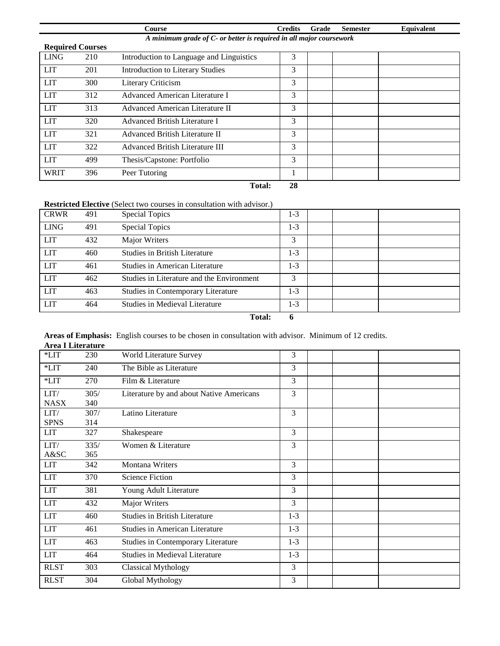|                                                                     |                         | Course                                   | <b>Credits</b> | Grade | <b>Semester</b> | Equivalent |  |  |  |
|---------------------------------------------------------------------|-------------------------|------------------------------------------|----------------|-------|-----------------|------------|--|--|--|
| A minimum grade of C- or better is required in all major coursework |                         |                                          |                |       |                 |            |  |  |  |
|                                                                     | <b>Required Courses</b> |                                          |                |       |                 |            |  |  |  |
| <b>LING</b>                                                         | 210                     | Introduction to Language and Linguistics | 3              |       |                 |            |  |  |  |
| <b>LIT</b>                                                          | 201                     | <b>Introduction to Literary Studies</b>  | 3              |       |                 |            |  |  |  |
| <b>LIT</b>                                                          | 300                     | Literary Criticism                       | 3              |       |                 |            |  |  |  |
| <b>LIT</b>                                                          | 312                     | Advanced American Literature I           | 3              |       |                 |            |  |  |  |
| <b>LIT</b>                                                          | 313                     | Advanced American Literature II          | 3              |       |                 |            |  |  |  |
| <b>LIT</b>                                                          | 320                     | Advanced British Literature I            | 3              |       |                 |            |  |  |  |
| <b>LIT</b>                                                          | 321                     | Advanced British Literature II           | 3              |       |                 |            |  |  |  |
| <b>LIT</b>                                                          | 322                     | Advanced British Literature III          | 3              |       |                 |            |  |  |  |
| <b>LIT</b>                                                          | 499                     | Thesis/Capstone: Portfolio               | 3              |       |                 |            |  |  |  |
| <b>WRIT</b>                                                         | 396                     | Peer Tutoring                            |                |       |                 |            |  |  |  |
|                                                                     |                         | Total:                                   | 28             |       |                 |            |  |  |  |

# **Restricted Elective** (Select two courses in consultation with advisor.)

| <b>CRWR</b> | 491 | <b>Special Topics</b>                     | 1-3   |  |  |
|-------------|-----|-------------------------------------------|-------|--|--|
| <b>LING</b> | 491 | <b>Special Topics</b>                     | $1-3$ |  |  |
| <b>LIT</b>  | 432 | Major Writers                             | 3     |  |  |
| <b>LIT</b>  | 460 | <b>Studies in British Literature</b>      | 1-3   |  |  |
| <b>LIT</b>  | 461 | Studies in American Literature            | 1-3   |  |  |
| <b>LIT</b>  | 462 | Studies in Literature and the Environment | 3     |  |  |
| <b>LIT</b>  | 463 | Studies in Contemporary Literature        | 1-3   |  |  |
| <b>LIT</b>  | 464 | Studies in Medieval Literature            | 1-3   |  |  |

**Total: 6**

#### **Areas of Emphasis:** English courses to be chosen in consultation with advisor. Minimum of 12 credits. **Area I Literature**

| Arca i Lucraturc |      |                                          |         |  |  |
|------------------|------|------------------------------------------|---------|--|--|
| $*LIT$           | 230  | World Literature Survey                  | 3       |  |  |
| $*LIT$           | 240  | The Bible as Literature                  | 3       |  |  |
| $*LIT$           | 270  | Film & Literature                        | 3       |  |  |
| LIT/             | 305/ | Literature by and about Native Americans | 3       |  |  |
| <b>NASX</b>      | 340  |                                          |         |  |  |
| LIT/             | 307/ | Latino Literature                        | 3       |  |  |
| <b>SPNS</b>      | 314  |                                          |         |  |  |
| <b>LIT</b>       | 327  | Shakespeare                              | 3       |  |  |
| LIT/             | 335/ | Women & Literature                       | 3       |  |  |
| A&SC             | 365  |                                          |         |  |  |
| <b>LIT</b>       | 342  | Montana Writers                          | 3       |  |  |
| <b>LIT</b>       | 370  | <b>Science Fiction</b>                   | 3       |  |  |
| <b>LIT</b>       | 381  | Young Adult Literature                   | 3       |  |  |
| <b>LIT</b>       | 432  | Major Writers                            | 3       |  |  |
| <b>LIT</b>       | 460  | <b>Studies in British Literature</b>     | $1-3$   |  |  |
| <b>LIT</b>       | 461  | <b>Studies in American Literature</b>    | $1-3$   |  |  |
| <b>LIT</b>       | 463  | Studies in Contemporary Literature       | $1-3$   |  |  |
| <b>LIT</b>       | 464  | <b>Studies in Medieval Literature</b>    | $1 - 3$ |  |  |
| <b>RLST</b>      | 303  | <b>Classical Mythology</b>               | 3       |  |  |
| <b>RLST</b>      | 304  | Global Mythology                         | 3       |  |  |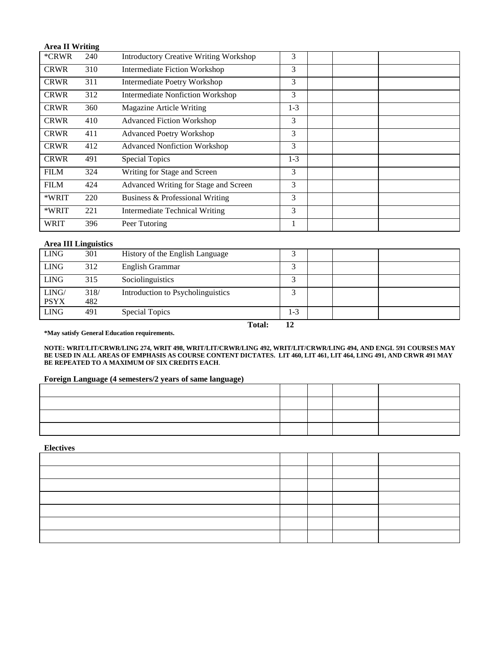## **Area II Writing**

| *CRWR       | 240 | <b>Introductory Creative Writing Workshop</b> | 3       |  |  |
|-------------|-----|-----------------------------------------------|---------|--|--|
| <b>CRWR</b> | 310 | Intermediate Fiction Workshop                 | 3       |  |  |
| <b>CRWR</b> | 311 | Intermediate Poetry Workshop                  | 3       |  |  |
| <b>CRWR</b> | 312 | <b>Intermediate Nonfiction Workshop</b>       | 3       |  |  |
| <b>CRWR</b> | 360 | Magazine Article Writing                      | $1 - 3$ |  |  |
| <b>CRWR</b> | 410 | <b>Advanced Fiction Workshop</b>              | 3       |  |  |
| <b>CRWR</b> | 411 | <b>Advanced Poetry Workshop</b>               | 3       |  |  |
| <b>CRWR</b> | 412 | <b>Advanced Nonfiction Workshop</b>           | 3       |  |  |
| <b>CRWR</b> | 491 | <b>Special Topics</b>                         | $1 - 3$ |  |  |
| <b>FILM</b> | 324 | Writing for Stage and Screen                  | 3       |  |  |
| <b>FILM</b> | 424 | Advanced Writing for Stage and Screen         | 3       |  |  |
| *WRIT       | 220 | Business & Professional Writing               | 3       |  |  |
| *WRIT       | 221 | <b>Intermediate Technical Writing</b>         | 3       |  |  |
| <b>WRIT</b> | 396 | Peer Tutoring                                 |         |  |  |

#### **Area III Linguistics**

| <b>LING</b> | 301  | History of the English Language   |            |  |  |
|-------------|------|-----------------------------------|------------|--|--|
| <b>LING</b> | 312  | English Grammar                   |            |  |  |
| <b>LING</b> | 315  | Sociolinguistics                  | $\sqrt{2}$ |  |  |
| LING/       | 318/ | Introduction to Psycholinguistics |            |  |  |
| <b>PSYX</b> | 482  |                                   |            |  |  |
| <b>LING</b> | 491  | Special Topics                    | $1-3$      |  |  |

 **Total: 12**

**\*May satisfy General Education requirements.**

**NOTE: WRIT/LIT/CRWR/LING 274, WRIT 498, WRIT/LIT/CRWR/LING 492, WRIT/LIT/CRWR/LING 494, AND ENGL 591 COURSES MAY BE USED IN ALL AREAS OF EMPHASIS AS COURSE CONTENT DICTATES. LIT 460, LIT 461, LIT 464, LING 491, AND CRWR 491 MAY BE REPEATED TO A MAXIMUM OF SIX CREDITS EACH**.

#### **Foreign Language (4 semesters/2 years of same language)**

#### **Electives**